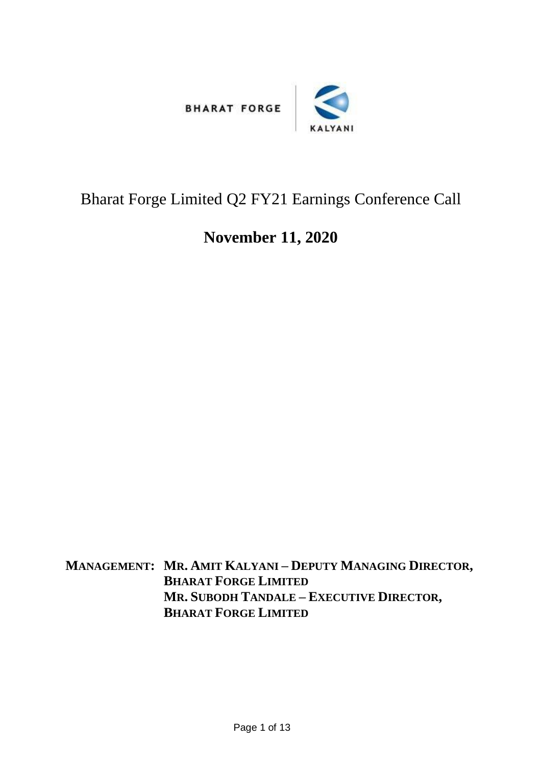



## Bharat Forge Limited Q2 FY21 Earnings Conference Call

## **November 11, 2020**

**MANAGEMENT: MR. AMIT KALYANI – DEPUTY MANAGING DIRECTOR, BHARAT FORGE LIMITED MR. SUBODH TANDALE – EXECUTIVE DIRECTOR, BHARAT FORGE LIMITED**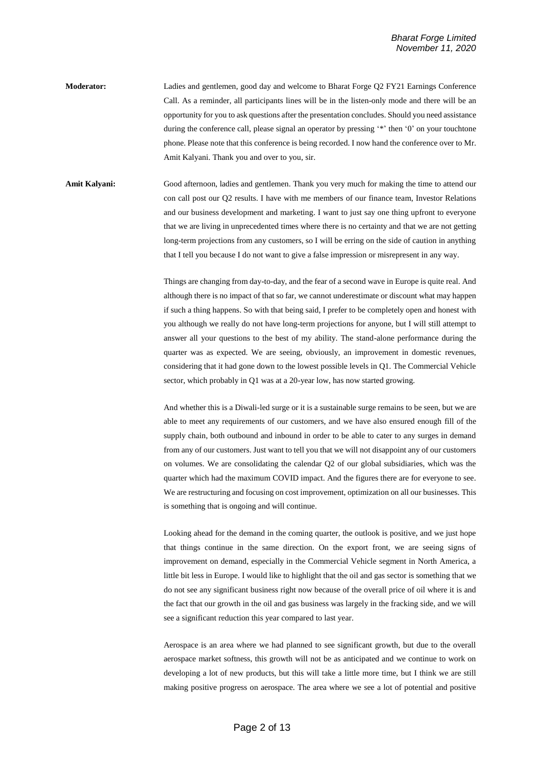**Moderator:** Ladies and gentlemen, good day and welcome to Bharat Forge Q2 FY21 Earnings Conference Call. As a reminder, all participants lines will be in the listen-only mode and there will be an opportunity for you to ask questions after the presentation concludes. Should you need assistance during the conference call, please signal an operator by pressing '\*' then '0' on your touchtone phone. Please note that this conference is being recorded. I now hand the conference over to Mr. Amit Kalyani. Thank you and over to you, sir.

**Amit Kalyani:** Good afternoon, ladies and gentlemen. Thank you very much for making the time to attend our con call post our Q2 results. I have with me members of our finance team, Investor Relations and our business development and marketing. I want to just say one thing upfront to everyone that we are living in unprecedented times where there is no certainty and that we are not getting long-term projections from any customers, so I will be erring on the side of caution in anything that I tell you because I do not want to give a false impression or misrepresent in any way.

> Things are changing from day-to-day, and the fear of a second wave in Europe is quite real. And although there is no impact of that so far, we cannot underestimate or discount what may happen if such a thing happens. So with that being said, I prefer to be completely open and honest with you although we really do not have long-term projections for anyone, but I will still attempt to answer all your questions to the best of my ability. The stand-alone performance during the quarter was as expected. We are seeing, obviously, an improvement in domestic revenues, considering that it had gone down to the lowest possible levels in Q1. The Commercial Vehicle sector, which probably in Q1 was at a 20-year low, has now started growing.

> And whether this is a Diwali-led surge or it is a sustainable surge remains to be seen, but we are able to meet any requirements of our customers, and we have also ensured enough fill of the supply chain, both outbound and inbound in order to be able to cater to any surges in demand from any of our customers. Just want to tell you that we will not disappoint any of our customers on volumes. We are consolidating the calendar Q2 of our global subsidiaries, which was the quarter which had the maximum COVID impact. And the figures there are for everyone to see. We are restructuring and focusing on cost improvement, optimization on all our businesses. This is something that is ongoing and will continue.

> Looking ahead for the demand in the coming quarter, the outlook is positive, and we just hope that things continue in the same direction. On the export front, we are seeing signs of improvement on demand, especially in the Commercial Vehicle segment in North America, a little bit less in Europe. I would like to highlight that the oil and gas sector is something that we do not see any significant business right now because of the overall price of oil where it is and the fact that our growth in the oil and gas business was largely in the fracking side, and we will see a significant reduction this year compared to last year.

> Aerospace is an area where we had planned to see significant growth, but due to the overall aerospace market softness, this growth will not be as anticipated and we continue to work on developing a lot of new products, but this will take a little more time, but I think we are still making positive progress on aerospace. The area where we see a lot of potential and positive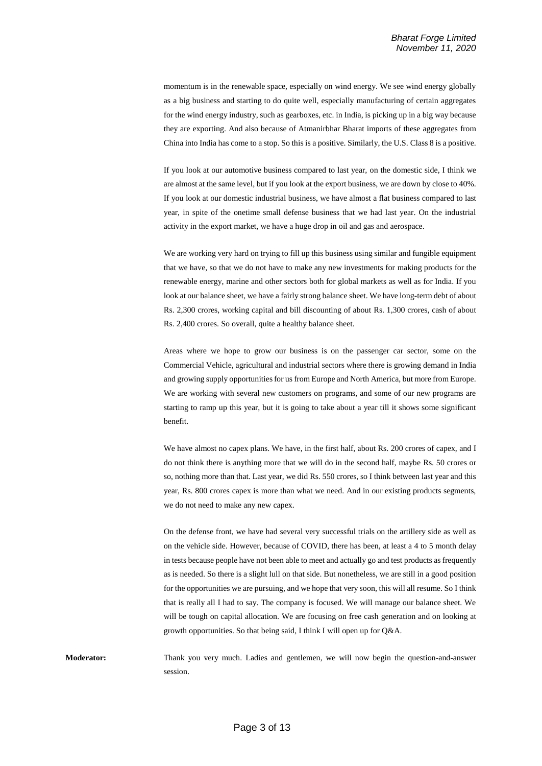momentum is in the renewable space, especially on wind energy. We see wind energy globally as a big business and starting to do quite well, especially manufacturing of certain aggregates for the wind energy industry, such as gearboxes, etc. in India, is picking up in a big way because they are exporting. And also because of Atmanirbhar Bharat imports of these aggregates from China into India has come to a stop. So this is a positive. Similarly, the U.S. Class 8 is a positive.

If you look at our automotive business compared to last year, on the domestic side, I think we are almost at the same level, but if you look at the export business, we are down by close to 40%. If you look at our domestic industrial business, we have almost a flat business compared to last year, in spite of the onetime small defense business that we had last year. On the industrial activity in the export market, we have a huge drop in oil and gas and aerospace.

We are working very hard on trying to fill up this business using similar and fungible equipment that we have, so that we do not have to make any new investments for making products for the renewable energy, marine and other sectors both for global markets as well as for India. If you look at our balance sheet, we have a fairly strong balance sheet. We have long-term debt of about Rs. 2,300 crores, working capital and bill discounting of about Rs. 1,300 crores, cash of about Rs. 2,400 crores. So overall, quite a healthy balance sheet.

Areas where we hope to grow our business is on the passenger car sector, some on the Commercial Vehicle, agricultural and industrial sectors where there is growing demand in India and growing supply opportunities for us from Europe and North America, but more from Europe. We are working with several new customers on programs, and some of our new programs are starting to ramp up this year, but it is going to take about a year till it shows some significant benefit.

We have almost no capex plans. We have, in the first half, about Rs. 200 crores of capex, and I do not think there is anything more that we will do in the second half, maybe Rs. 50 crores or so, nothing more than that. Last year, we did Rs. 550 crores, so I think between last year and this year, Rs. 800 crores capex is more than what we need. And in our existing products segments, we do not need to make any new capex.

On the defense front, we have had several very successful trials on the artillery side as well as on the vehicle side. However, because of COVID, there has been, at least a 4 to 5 month delay in tests because people have not been able to meet and actually go and test products as frequently as is needed. So there is a slight lull on that side. But nonetheless, we are still in a good position for the opportunities we are pursuing, and we hope that very soon, this will all resume. So I think that is really all I had to say. The company is focused. We will manage our balance sheet. We will be tough on capital allocation. We are focusing on free cash generation and on looking at growth opportunities. So that being said, I think I will open up for Q&A.

**Moderator:** Thank you very much. Ladies and gentlemen, we will now begin the question-and-answer session.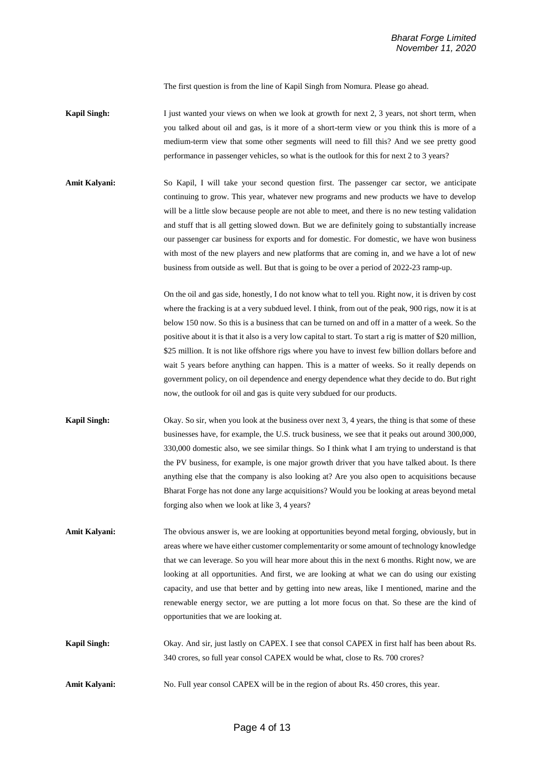The first question is from the line of Kapil Singh from Nomura. Please go ahead.

- **Kapil Singh:** I just wanted your views on when we look at growth for next 2, 3 years, not short term, when you talked about oil and gas, is it more of a short-term view or you think this is more of a medium-term view that some other segments will need to fill this? And we see pretty good performance in passenger vehicles, so what is the outlook for this for next 2 to 3 years?
- **Amit Kalyani:** So Kapil, I will take your second question first. The passenger car sector, we anticipate continuing to grow. This year, whatever new programs and new products we have to develop will be a little slow because people are not able to meet, and there is no new testing validation and stuff that is all getting slowed down. But we are definitely going to substantially increase our passenger car business for exports and for domestic. For domestic, we have won business with most of the new players and new platforms that are coming in, and we have a lot of new business from outside as well. But that is going to be over a period of 2022-23 ramp-up.

On the oil and gas side, honestly, I do not know what to tell you. Right now, it is driven by cost where the fracking is at a very subdued level. I think, from out of the peak, 900 rigs, now it is at below 150 now. So this is a business that can be turned on and off in a matter of a week. So the positive about it is that it also is a very low capital to start. To start a rig is matter of \$20 million, \$25 million. It is not like offshore rigs where you have to invest few billion dollars before and wait 5 years before anything can happen. This is a matter of weeks. So it really depends on government policy, on oil dependence and energy dependence what they decide to do. But right now, the outlook for oil and gas is quite very subdued for our products.

- **Kapil Singh:** Okay. So sir, when you look at the business over next 3, 4 years, the thing is that some of these businesses have, for example, the U.S. truck business, we see that it peaks out around 300,000, 330,000 domestic also, we see similar things. So I think what I am trying to understand is that the PV business, for example, is one major growth driver that you have talked about. Is there anything else that the company is also looking at? Are you also open to acquisitions because Bharat Forge has not done any large acquisitions? Would you be looking at areas beyond metal forging also when we look at like 3, 4 years?
- **Amit Kalyani:** The obvious answer is, we are looking at opportunities beyond metal forging, obviously, but in areas where we have either customer complementarity or some amount of technology knowledge that we can leverage. So you will hear more about this in the next 6 months. Right now, we are looking at all opportunities. And first, we are looking at what we can do using our existing capacity, and use that better and by getting into new areas, like I mentioned, marine and the renewable energy sector, we are putting a lot more focus on that. So these are the kind of opportunities that we are looking at.
- **Kapil Singh:** Okay. And sir, just lastly on CAPEX. I see that consol CAPEX in first half has been about Rs. 340 crores, so full year consol CAPEX would be what, close to Rs. 700 crores?
- **Amit Kalyani:** No. Full year consol CAPEX will be in the region of about Rs. 450 crores, this year.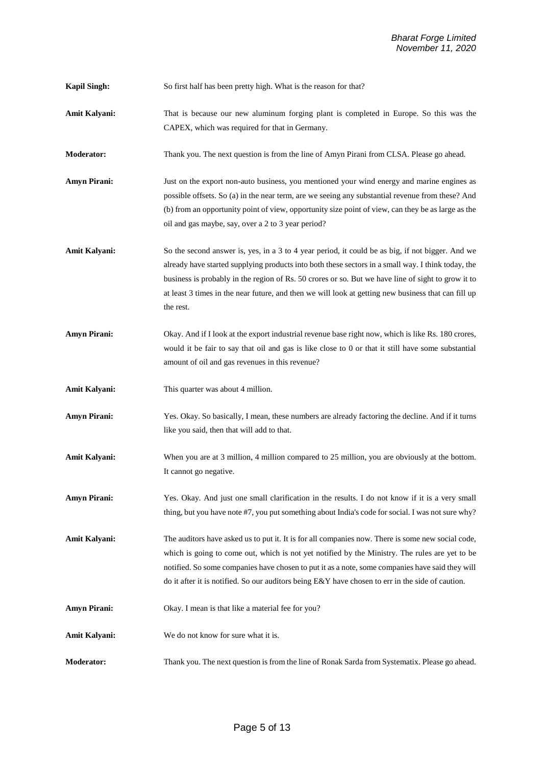**Kapil Singh:** So first half has been pretty high. What is the reason for that?

- **Amit Kalyani:** That is because our new aluminum forging plant is completed in Europe. So this was the CAPEX, which was required for that in Germany.
- **Moderator:** Thank you. The next question is from the line of Amyn Pirani from CLSA. Please go ahead.

**Amyn Pirani:** Just on the export non-auto business, you mentioned your wind energy and marine engines as possible offsets. So (a) in the near term, are we seeing any substantial revenue from these? And (b) from an opportunity point of view, opportunity size point of view, can they be as large as the oil and gas maybe, say, over a 2 to 3 year period?

- Amit Kalyani: So the second answer is, yes, in a 3 to 4 year period, it could be as big, if not bigger. And we already have started supplying products into both these sectors in a small way. I think today, the business is probably in the region of Rs. 50 crores or so. But we have line of sight to grow it to at least 3 times in the near future, and then we will look at getting new business that can fill up the rest.
- **Amyn Pirani:** Okay. And if I look at the export industrial revenue base right now, which is like Rs. 180 crores, would it be fair to say that oil and gas is like close to 0 or that it still have some substantial amount of oil and gas revenues in this revenue?
- **Amit Kalyani:** This quarter was about 4 million.
- **Amyn Pirani:** Yes. Okay. So basically, I mean, these numbers are already factoring the decline. And if it turns like you said, then that will add to that.
- **Amit Kalyani:** When you are at 3 million, 4 million compared to 25 million, you are obviously at the bottom. It cannot go negative.
- **Amyn Pirani:** Yes. Okay. And just one small clarification in the results. I do not know if it is a very small thing, but you have note #7, you put something about India's code for social. I was not sure why?

Amit Kalyani: The auditors have asked us to put it. It is for all companies now. There is some new social code, which is going to come out, which is not yet notified by the Ministry. The rules are yet to be notified. So some companies have chosen to put it as a note, some companies have said they will do it after it is notified. So our auditors being E&Y have chosen to err in the side of caution.

- Amyn Pirani: Okay. I mean is that like a material fee for you?
- **Amit Kalyani:** We do not know for sure what it is.
- **Moderator:** Thank you. The next question is from the line of Ronak Sarda from Systematix. Please go ahead.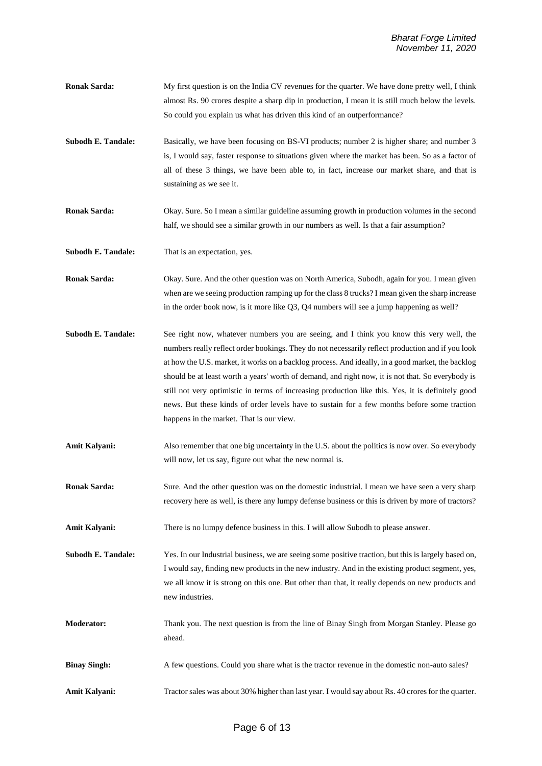- **Ronak Sarda:** My first question is on the India CV revenues for the quarter. We have done pretty well, I think almost Rs. 90 crores despite a sharp dip in production, I mean it is still much below the levels. So could you explain us what has driven this kind of an outperformance?
- **Subodh E. Tandale:** Basically, we have been focusing on BS-VI products; number 2 is higher share; and number 3 is, I would say, faster response to situations given where the market has been. So as a factor of all of these 3 things, we have been able to, in fact, increase our market share, and that is sustaining as we see it.
- **Ronak Sarda:** Okay. Sure. So I mean a similar guideline assuming growth in production volumes in the second half, we should see a similar growth in our numbers as well. Is that a fair assumption?
- **Subodh E. Tandale:** That is an expectation, yes.
- **Ronak Sarda:** Okay. Sure. And the other question was on North America, Subodh, again for you. I mean given when are we seeing production ramping up for the class 8 trucks? I mean given the sharp increase in the order book now, is it more like Q3, Q4 numbers will see a jump happening as well?
- **Subodh E. Tandale:** See right now, whatever numbers you are seeing, and I think you know this very well, the numbers really reflect order bookings. They do not necessarily reflect production and if you look at how the U.S. market, it works on a backlog process. And ideally, in a good market, the backlog should be at least worth a years' worth of demand, and right now, it is not that. So everybody is still not very optimistic in terms of increasing production like this. Yes, it is definitely good news. But these kinds of order levels have to sustain for a few months before some traction happens in the market. That is our view.
- Amit Kalyani: Also remember that one big uncertainty in the U.S. about the politics is now over. So everybody will now, let us say, figure out what the new normal is.
- **Ronak Sarda:** Sure. And the other question was on the domestic industrial. I mean we have seen a very sharp recovery here as well, is there any lumpy defense business or this is driven by more of tractors?
- **Amit Kalyani:** There is no lumpy defence business in this. I will allow Subodh to please answer.

**Subodh E. Tandale:** Yes. In our Industrial business, we are seeing some positive traction, but this is largely based on, I would say, finding new products in the new industry. And in the existing product segment, yes, we all know it is strong on this one. But other than that, it really depends on new products and new industries.

- **Moderator:** Thank you. The next question is from the line of Binay Singh from Morgan Stanley. Please go ahead.
- **Binay Singh:** A few questions. Could you share what is the tractor revenue in the domestic non-auto sales?
- **Amit Kalyani:** Tractor sales was about 30% higher than last year. I would say about Rs. 40 crores for the quarter.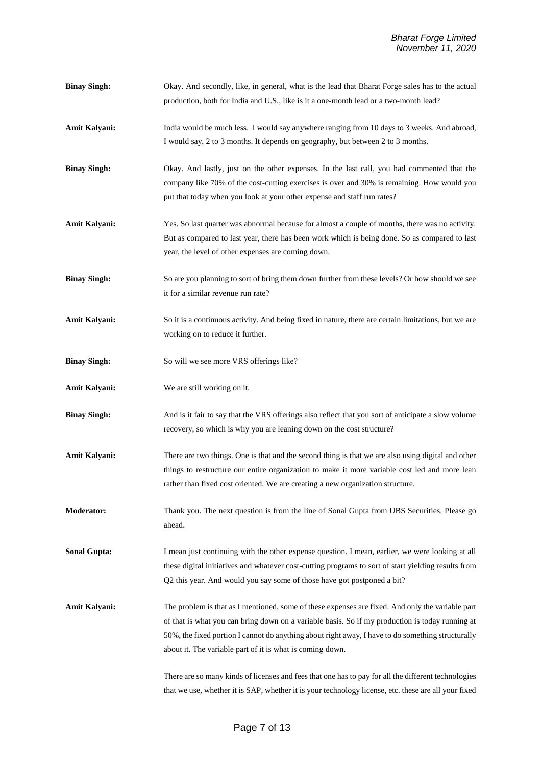**Binay Singh:** Okay. And secondly, like, in general, what is the lead that Bharat Forge sales has to the actual production, both for India and U.S., like is it a one-month lead or a two-month lead? Amit Kalyani: India would be much less. I would say anywhere ranging from 10 days to 3 weeks. And abroad, I would say, 2 to 3 months. It depends on geography, but between 2 to 3 months. **Binay Singh:** Okay. And lastly, just on the other expenses. In the last call, you had commented that the company like 70% of the cost-cutting exercises is over and 30% is remaining. How would you put that today when you look at your other expense and staff run rates? **Amit Kalyani:** Yes. So last quarter was abnormal because for almost a couple of months, there was no activity. But as compared to last year, there has been work which is being done. So as compared to last year, the level of other expenses are coming down. **Binay Singh:** So are you planning to sort of bring them down further from these levels? Or how should we see it for a similar revenue run rate? Amit Kalyani: So it is a continuous activity. And being fixed in nature, there are certain limitations, but we are working on to reduce it further. **Binay Singh:** So will we see more VRS offerings like? **Amit Kalyani:** We are still working on it. **Binay Singh:** And is it fair to say that the VRS offerings also reflect that you sort of anticipate a slow volume recovery, so which is why you are leaning down on the cost structure? **Amit Kalyani:** There are two things. One is that and the second thing is that we are also using digital and other things to restructure our entire organization to make it more variable cost led and more lean rather than fixed cost oriented. We are creating a new organization structure. **Moderator:** Thank you. The next question is from the line of Sonal Gupta from UBS Securities. Please go ahead. **Sonal Gupta:** I mean just continuing with the other expense question. I mean, earlier, we were looking at all these digital initiatives and whatever cost-cutting programs to sort of start yielding results from Q2 this year. And would you say some of those have got postponed a bit? Amit Kalyani: The problem is that as I mentioned, some of these expenses are fixed. And only the variable part of that is what you can bring down on a variable basis. So if my production is today running at 50%, the fixed portion I cannot do anything about right away, I have to do something structurally about it. The variable part of it is what is coming down. There are so many kinds of licenses and fees that one has to pay for all the different technologies that we use, whether it is SAP, whether it is your technology license, etc. these are all your fixed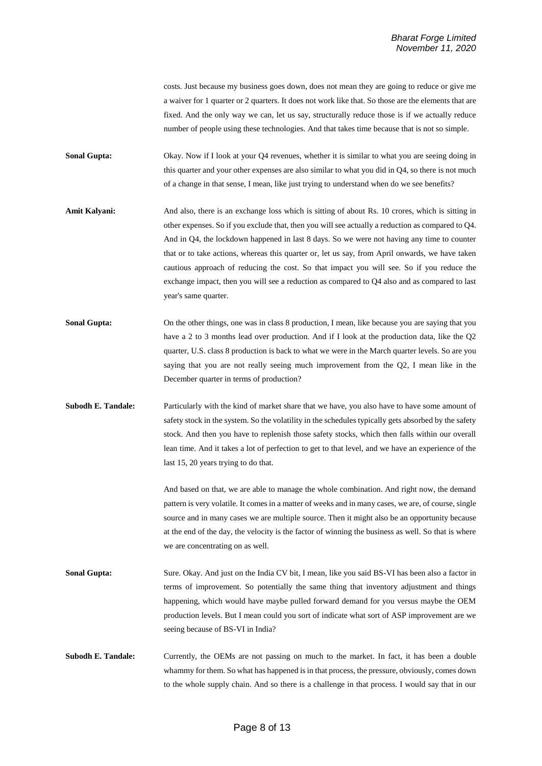costs. Just because my business goes down, does not mean they are going to reduce or give me a waiver for 1 quarter or 2 quarters. It does not work like that. So those are the elements that are fixed. And the only way we can, let us say, structurally reduce those is if we actually reduce number of people using these technologies. And that takes time because that is not so simple.

**Sonal Gupta:** Okay. Now if I look at your Q4 revenues, whether it is similar to what you are seeing doing in this quarter and your other expenses are also similar to what you did in Q4, so there is not much of a change in that sense, I mean, like just trying to understand when do we see benefits?

- Amit Kalyani: And also, there is an exchange loss which is sitting of about Rs. 10 crores, which is sitting in other expenses. So if you exclude that, then you will see actually a reduction as compared to Q4. And in Q4, the lockdown happened in last 8 days. So we were not having any time to counter that or to take actions, whereas this quarter or, let us say, from April onwards, we have taken cautious approach of reducing the cost. So that impact you will see. So if you reduce the exchange impact, then you will see a reduction as compared to Q4 also and as compared to last year's same quarter.
- Sonal Gupta: On the other things, one was in class 8 production, I mean, like because you are saying that you have a 2 to 3 months lead over production. And if I look at the production data, like the Q2 quarter, U.S. class 8 production is back to what we were in the March quarter levels. So are you saying that you are not really seeing much improvement from the Q2, I mean like in the December quarter in terms of production?
- **Subodh E. Tandale:** Particularly with the kind of market share that we have, you also have to have some amount of safety stock in the system. So the volatility in the schedules typically gets absorbed by the safety stock. And then you have to replenish those safety stocks, which then falls within our overall lean time. And it takes a lot of perfection to get to that level, and we have an experience of the last 15, 20 years trying to do that.

And based on that, we are able to manage the whole combination. And right now, the demand pattern is very volatile. It comes in a matter of weeks and in many cases, we are, of course, single source and in many cases we are multiple source. Then it might also be an opportunity because at the end of the day, the velocity is the factor of winning the business as well. So that is where we are concentrating on as well.

- **Sonal Gupta:** Sure. Okay. And just on the India CV bit, I mean, like you said BS-VI has been also a factor in terms of improvement. So potentially the same thing that inventory adjustment and things happening, which would have maybe pulled forward demand for you versus maybe the OEM production levels. But I mean could you sort of indicate what sort of ASP improvement are we seeing because of BS-VI in India?
- **Subodh E. Tandale:** Currently, the OEMs are not passing on much to the market. In fact, it has been a double whammy for them. So what has happened is in that process, the pressure, obviously, comes down to the whole supply chain. And so there is a challenge in that process. I would say that in our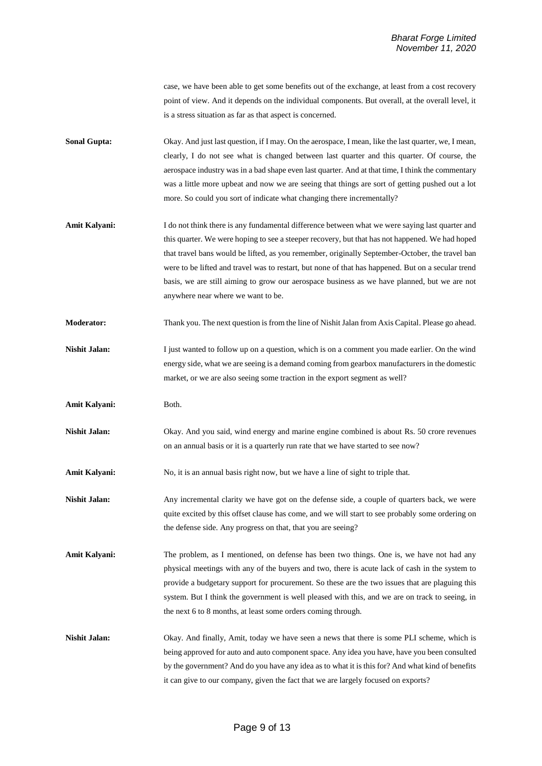case, we have been able to get some benefits out of the exchange, at least from a cost recovery point of view. And it depends on the individual components. But overall, at the overall level, it is a stress situation as far as that aspect is concerned.

- **Sonal Gupta:** Okay. And just last question, if I may. On the aerospace, I mean, like the last quarter, we, I mean, clearly, I do not see what is changed between last quarter and this quarter. Of course, the aerospace industry was in a bad shape even last quarter. And at that time, I think the commentary was a little more upbeat and now we are seeing that things are sort of getting pushed out a lot more. So could you sort of indicate what changing there incrementally?
- **Amit Kalyani:** I do not think there is any fundamental difference between what we were saying last quarter and this quarter. We were hoping to see a steeper recovery, but that has not happened. We had hoped that travel bans would be lifted, as you remember, originally September-October, the travel ban were to be lifted and travel was to restart, but none of that has happened. But on a secular trend basis, we are still aiming to grow our aerospace business as we have planned, but we are not anywhere near where we want to be.
- **Moderator:** Thank you. The next question is from the line of Nishit Jalan from Axis Capital. Please go ahead.
- **Nishit Jalan:** I just wanted to follow up on a question, which is on a comment you made earlier. On the wind energy side, what we are seeing is a demand coming from gearbox manufacturers in the domestic market, or we are also seeing some traction in the export segment as well?
- Amit Kalyani: Both.
- Nishit Jalan: Okay. And you said, wind energy and marine engine combined is about Rs. 50 crore revenues on an annual basis or it is a quarterly run rate that we have started to see now?
- **Amit Kalyani:** No, it is an annual basis right now, but we have a line of sight to triple that.
- **Nishit Jalan:** Any incremental clarity we have got on the defense side, a couple of quarters back, we were quite excited by this offset clause has come, and we will start to see probably some ordering on the defense side. Any progress on that, that you are seeing?
- Amit Kalyani: The problem, as I mentioned, on defense has been two things. One is, we have not had any physical meetings with any of the buyers and two, there is acute lack of cash in the system to provide a budgetary support for procurement. So these are the two issues that are plaguing this system. But I think the government is well pleased with this, and we are on track to seeing, in the next 6 to 8 months, at least some orders coming through.
- **Nishit Jalan:** Okay. And finally, Amit, today we have seen a news that there is some PLI scheme, which is being approved for auto and auto component space. Any idea you have, have you been consulted by the government? And do you have any idea as to what it is this for? And what kind of benefits it can give to our company, given the fact that we are largely focused on exports?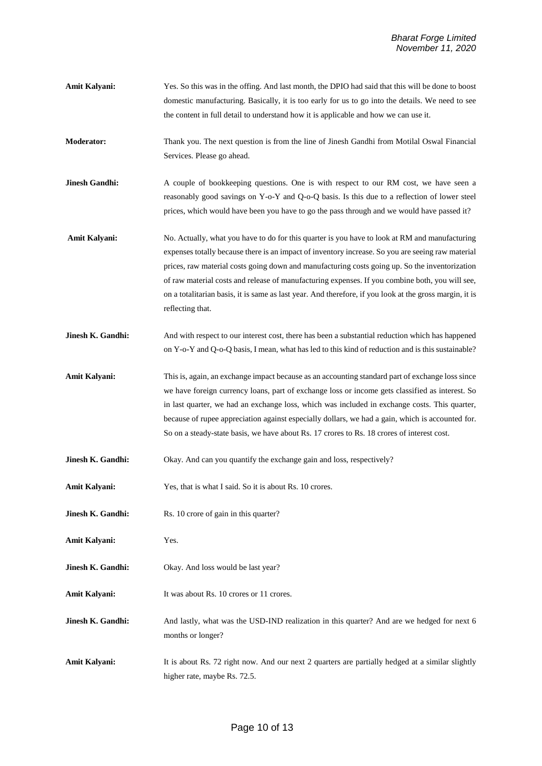- **Amit Kalyani:** Yes. So this was in the offing. And last month, the DPIO had said that this will be done to boost domestic manufacturing. Basically, it is too early for us to go into the details. We need to see the content in full detail to understand how it is applicable and how we can use it.
- **Moderator:** Thank you. The next question is from the line of Jinesh Gandhi from Motilal Oswal Financial Services. Please go ahead.
- **Jinesh Gandhi:** A couple of bookkeeping questions. One is with respect to our RM cost, we have seen a reasonably good savings on Y-o-Y and Q-o-Q basis. Is this due to a reflection of lower steel prices, which would have been you have to go the pass through and we would have passed it?
- **Amit Kalyani:** No. Actually, what you have to do for this quarter is you have to look at RM and manufacturing expenses totally because there is an impact of inventory increase. So you are seeing raw material prices, raw material costs going down and manufacturing costs going up. So the inventorization of raw material costs and release of manufacturing expenses. If you combine both, you will see, on a totalitarian basis, it is same as last year. And therefore, if you look at the gross margin, it is reflecting that.
- **Jinesh K. Gandhi:** And with respect to our interest cost, there has been a substantial reduction which has happened on Y-o-Y and Q-o-Q basis, I mean, what has led to this kind of reduction and is this sustainable?
- **Amit Kalyani:** This is, again, an exchange impact because as an accounting standard part of exchange loss since we have foreign currency loans, part of exchange loss or income gets classified as interest. So in last quarter, we had an exchange loss, which was included in exchange costs. This quarter, because of rupee appreciation against especially dollars, we had a gain, which is accounted for. So on a steady-state basis, we have about Rs. 17 crores to Rs. 18 crores of interest cost.
- **Jinesh K. Gandhi:** Okay. And can you quantify the exchange gain and loss, respectively?
- **Amit Kalyani:** Yes, that is what I said. So it is about Rs. 10 crores.
- **Jinesh K. Gandhi:** Rs. 10 crore of gain in this quarter?
- **Amit Kalyani:** Yes.
- **Jinesh K. Gandhi:** Okay. And loss would be last year?
- Amit Kalyani: It was about Rs. 10 crores or 11 crores.
- **Jinesh K. Gandhi:** And lastly, what was the USD-IND realization in this quarter? And are we hedged for next 6 months or longer?
- Amit Kalyani: It is about Rs. 72 right now. And our next 2 quarters are partially hedged at a similar slightly higher rate, maybe Rs. 72.5.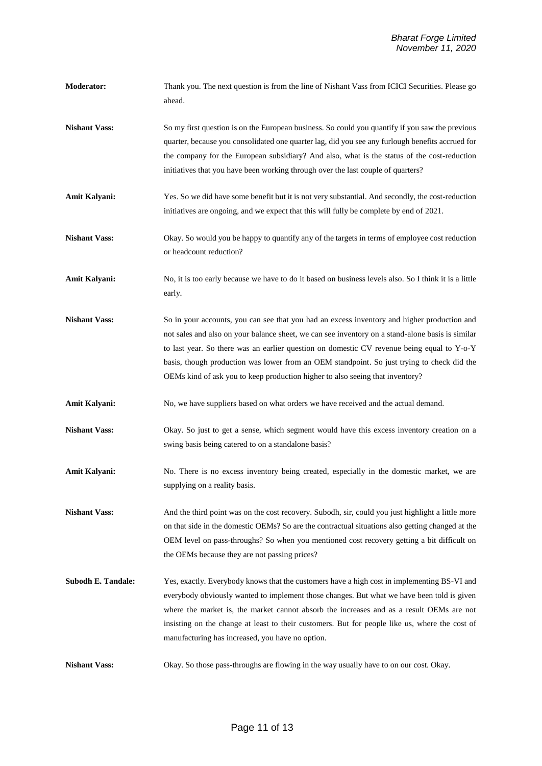- **Moderator:** Thank you. The next question is from the line of Nishant Vass from ICICI Securities. Please go ahead.
- **Nishant Vass:** So my first question is on the European business. So could you quantify if you saw the previous quarter, because you consolidated one quarter lag, did you see any furlough benefits accrued for the company for the European subsidiary? And also, what is the status of the cost-reduction initiatives that you have been working through over the last couple of quarters?
- Amit Kalyani: Yes. So we did have some benefit but it is not very substantial. And secondly, the cost-reduction initiatives are ongoing, and we expect that this will fully be complete by end of 2021.
- **Nishant Vass:** Okay. So would you be happy to quantify any of the targets in terms of employee cost reduction or headcount reduction?
- Amit Kalyani: No, it is too early because we have to do it based on business levels also. So I think it is a little early.
- **Nishant Vass:** So in your accounts, you can see that you had an excess inventory and higher production and not sales and also on your balance sheet, we can see inventory on a stand-alone basis is similar to last year. So there was an earlier question on domestic CV revenue being equal to Y-o-Y basis, though production was lower from an OEM standpoint. So just trying to check did the OEMs kind of ask you to keep production higher to also seeing that inventory?
- Amit Kalyani: No, we have suppliers based on what orders we have received and the actual demand.
- **Nishant Vass:** Okay. So just to get a sense, which segment would have this excess inventory creation on a swing basis being catered to on a standalone basis?
- Amit Kalyani: No. There is no excess inventory being created, especially in the domestic market, we are supplying on a reality basis.
- **Nishant Vass:** And the third point was on the cost recovery. Subodh, sir, could you just highlight a little more on that side in the domestic OEMs? So are the contractual situations also getting changed at the OEM level on pass-throughs? So when you mentioned cost recovery getting a bit difficult on the OEMs because they are not passing prices?
- **Subodh E. Tandale:** Yes, exactly. Everybody knows that the customers have a high cost in implementing BS-VI and everybody obviously wanted to implement those changes. But what we have been told is given where the market is, the market cannot absorb the increases and as a result OEMs are not insisting on the change at least to their customers. But for people like us, where the cost of manufacturing has increased, you have no option.
- **Nishant Vass:** Okay. So those pass-throughs are flowing in the way usually have to on our cost. Okay.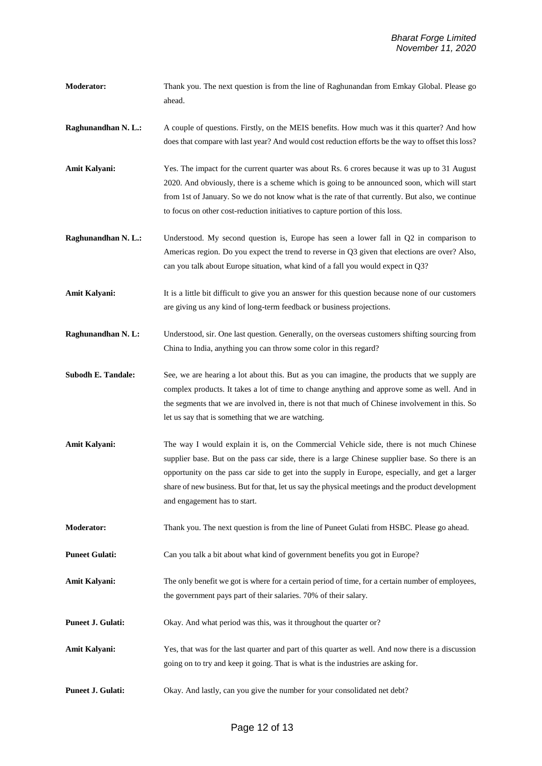- **Moderator:** Thank you. The next question is from the line of Raghunandan from Emkay Global. Please go ahead.
- **Raghunandhan N. L.:** A couple of questions. Firstly, on the MEIS benefits. How much was it this quarter? And how does that compare with last year? And would cost reduction efforts be the way to offset this loss?
- **Amit Kalyani:** Yes. The impact for the current quarter was about Rs. 6 crores because it was up to 31 August 2020. And obviously, there is a scheme which is going to be announced soon, which will start from 1st of January. So we do not know what is the rate of that currently. But also, we continue to focus on other cost-reduction initiatives to capture portion of this loss.
- **Raghunandhan N. L.:** Understood. My second question is, Europe has seen a lower fall in Q2 in comparison to Americas region. Do you expect the trend to reverse in Q3 given that elections are over? Also, can you talk about Europe situation, what kind of a fall you would expect in Q3?
- Amit Kalyani: It is a little bit difficult to give you an answer for this question because none of our customers are giving us any kind of long-term feedback or business projections.
- **Raghunandhan N. L:** Understood, sir. One last question. Generally, on the overseas customers shifting sourcing from China to India, anything you can throw some color in this regard?
- **Subodh E. Tandale:** See, we are hearing a lot about this. But as you can imagine, the products that we supply are complex products. It takes a lot of time to change anything and approve some as well. And in the segments that we are involved in, there is not that much of Chinese involvement in this. So let us say that is something that we are watching.
- **Amit Kalyani:** The way I would explain it is, on the Commercial Vehicle side, there is not much Chinese supplier base. But on the pass car side, there is a large Chinese supplier base. So there is an opportunity on the pass car side to get into the supply in Europe, especially, and get a larger share of new business. But for that, let us say the physical meetings and the product development and engagement has to start.
- **Moderator:** Thank you. The next question is from the line of Puneet Gulati from HSBC. Please go ahead.
- **Puneet Gulati:** Can you talk a bit about what kind of government benefits you got in Europe?
- Amit Kalyani: The only benefit we got is where for a certain period of time, for a certain number of employees, the government pays part of their salaries. 70% of their salary.
- **Puneet J. Gulati:** Okay. And what period was this, was it throughout the quarter or?
- **Amit Kalyani:** Yes, that was for the last quarter and part of this quarter as well. And now there is a discussion going on to try and keep it going. That is what is the industries are asking for.
- **Puneet J. Gulati:** Okay. And lastly, can you give the number for your consolidated net debt?